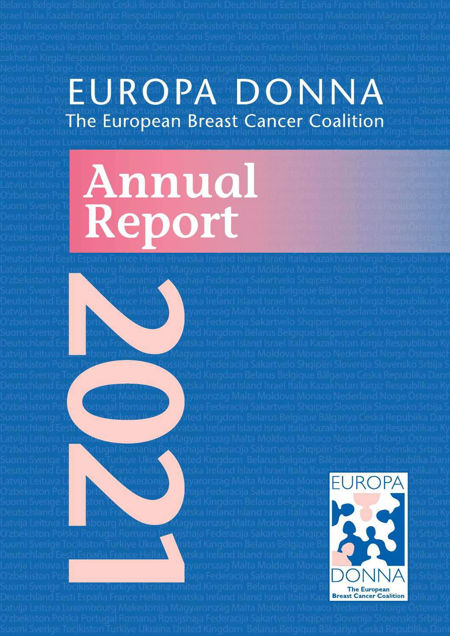## Slovensko Srbija <del>Sui</del>sse Suomi Sverige Tocikiston Turkiye <u>Ukraïna United Kingdom</u> Belarus Belgique Bălgariy Republika Danmark Deutschland Eesti España France Hellas Hrvatska Ireland Island Israel Italia Kazakhstan K Respublikası Kyp<mark>ros Latvija Le</mark>itava Luxembourg Makedo<mark>nija Magyarors</mark>zág Malta Moldova Monaco Nederla Österreich Oʻzb<u>eki</u>ston P<u>ol</u>ska Portugal Romania Rossijshaja Federacija Sakartvelo Shqipëri Slovenija Slovens Suisse Suomi Sv**irhe turopeana BreastnGancers Coalition** Ceská Republik<br>mark Deutschland Eesti España France Hellas Hrvatska Ireland Island Israel Italia Kazakhstan Kirgiz Respublik

O'zbekiston Pols**ka Portugal Romania Romania Rossija Federacija Sakartvelo Shqipëri Slovenij**a Slovensko Srbija S

Latvija Leituva L<u>uxe</u>mbourg Makedonija Magyarország Malta Moldova Monaco Nederland Norge Österreich Oʻzbekiston Pols**ka Portugal Romania Rossijshaja Federacija** Sakartvelo Shqipëri Slovenija Slovensko Srbija S Suomi Sverige Tochkiye Ukraïna United Kingdom Belarus Belgique Bălgariya Ceská Republika Danr

Suomi Sverige Tocikiston Turkiye United Kingdom Belarus Belgique Bǎlgariya Ceská Republika Dann Deutschland Eesti España France Hellas Hratska Ireland Island Israel Italia Kazakhstan Kirgiz Respublikası Ky Suomi Sverige Tochkiston Turkiye Ukraïna Lahited Kingdom Belarus Belgique Bălgariya Ceská Republika Danr Deutschland Eesti España France Hellas Hrvatska Ireland Island Israel Italia Kazakhstan Kirgiz Respublikası Ky

O'zbekiston Polska Portugal Romania <u>Ros</u>sijshaja Federacija Sakartvelo Shqipëri Sloveni Slovenija Slovensko Srbija S Suomi Sverige Tocikiston Turkiye Ukraïna United Kingdom Belarus Belgique Bălgariya Cesaka Republika Dann Deutschland Ees<u>ti España France Hellas Ha</u>rtska Ireland Island Israel Italia Kaza**khstan Kirgiz Respublikası Ky** 

### Suomi Sverige Tocikiston Turkiye Ukraïna Ukraïna United Kingdom Belgique Bačlgariya Ceská Republika Dann Deutschland Eesti España France Hellas Hrvatska III al Israel Italia Kazakhstan Kirgiz Respublikası Ky Latvija Leituva Lu $\begin{pmatrix} 1 & 1 & 1 \end{pmatrix}$  Makedonija Moldova Monaco Nederland Norge Österreich O'zbekiston Pols**ka Portugal Romania Romania Romania Romania Rossija Suisse Portugal Romania Romania Romania Romania Romania Romania Romania Romania Romania Romania Romania Romania Romania Romania Romania Romania Romania R** Suomi Sverige To $\Box$ Turkiye Ukraïna Ukraïna United Am Belarus Belgique Bălgariya Ceská Republika Dann Deutschland Eesti España France Hellas Harvatska Irakia Kazakhstan Kirgiz Respublikası Ky Latvija Leituva Lu $\blacksquare$  Makedonija Makedonija Makedonija Makedonija Moldova Monaco Nederland Norge Österreich O'zbekiston Pols**ka Portugal Romania Romania Romania Romania Romania Romania Romania Slovensko Srbija S**uisse Suis Suomi Sverige To $\Box$  Ukraïna Ukraïna Ukraïna United Kingdom Belarus Belgique Bălgariya Ceská Republika Danr

Deutschland Eesti España France Hellas Hratska Ireland Island Israel Italia Kazakhstan Kirgiz Respublikası Ky Latvija Leituva Lu**zembo Makedonija Margyarország Malta Moldo**va Monaco Nederland Norge Österreich O'zbekiston Polska Portugal Romania Rossija Federacija Sakartvelo Shqipëri Slovenija Slovensko Srbija S Suomi Sverige Tocikiston Turkiye Ukraïna United Kingdom Belarus Belgique Bǎlgariya Ceská Republika Dann Deutschland Eesti Epaña France Hellas Hrvatska Ireland Island Israel Italia Kazakhstan Kirgiz Respublikası Ky Latvija Leituva Luxembourg Makedonija Magyarország Malta Moldova Monaco Nederland Norge Österreich O'zbekiston Polska Portugal Rossijshaja Federacija Sakartvelo Shqipëri Slovenija Slovensko Srbija S

Latvija Leituva L**uxembourg Makedonija Magyarország Malta Moldo**va Monaco Nederland Norge Österreich Oʻzbekiston Polska Portugal Romania Rossijahaja Federacija Sakartvelo Shqipëri Slovenija Slovensko Srbija S

Latvija Leituva Luxembourg Magyarország Malta Moldova Monaco Nederland Norge Österreich O'zbekiston Polska Portugal Romania Rossijshaja Federacija Sakartvelo Shqipëri Slovenija Slovensko Srbija S Suomi Sverige Tocikiston Turkiye Ukraïna United Kingdom Belarus Belgique Baˇlgariya Ceská Republika Danmark Deutschland Eesti España France Hellas Hratiska Ireland Island Israel Italia Kazakhstan Kirgiz Respublikası Ky Latvija Leituva Lu**zembow Makedonija Magyarország Malta Moldo**va Monaco <mark>FUROPA</mark> Österreich O'zbekiston Polska Portugal Romania Rossija Federacija Sakartvelo Shqipëri Sloveni Slovenija Slovensko Srbija S

Suomi Sverige Tocikiston Turkiye Ukraïna United Kingdom Belarus Belgique Bălgariya Ceská Republika Dann Deutschland Eesti Epaña France Hellas Helland Island Israel Italia Kazakhstan Kirgiz Respublikası Ky Latvija Leituva Luxembourg Makedonija Magyarország Malta Moldova Monaco Nederland Norge Malta Norge Österreich

Latvija Leituva Luxembourg Makedonija Makedonija Makedonija Makedonija Makedonija Monaco Nederland Norge Österreich Oʻzbekiston Pols $\blacksquare$ ka Portugal Rossija Federacija Sakartvelo Shqipëri  $\bigcirc$ NNA o Srbija S

Suomi Sverige Tocikiston Turkiye Ukraïna United Kingdom Belarus Belgique Bă $\overline{\phantom{a}}$ rhe European $\overline{\phantom{a}}$ olika Danr Deutschland Eesti España France Hellas Hrvatska Ireland Island Israel Italia Kaza<mark> Breast Cancer Coalition I</mark>blikası Ky

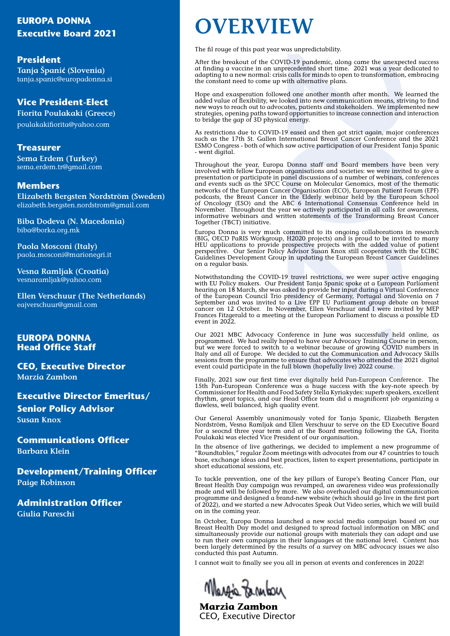## **EUROPA DONNA**

**President Tanja Španić (Slovenia)** tanja.spanic@europadonna.si

### **Vice President-Elect**

**Fiorita Poulakaki (Greece)** poulakakifiorita@yahoo.com

#### **Treasurer**

**Sema Erdem (Turkey)** sema.erdem.tr@gmail.com

#### **Members**

**Elizabeth Bergsten Nordström (Sweden)** elizabeth.bergsten.nordstrom@gmail.com

**Biba Dodeva (N. Macedonia)** biba@borka.org.mk

**Paola Mosconi (Italy)** paola.mosconi@marionegri.it

**Vesna Ramljak (Croatia)** vesnaramljak@yahoo.com

**Ellen Verschuur (The Netherlands)**  eajverschuur@gmail.com

#### **EUROPA DONNA Head Office Staff**

**CEO, Executive Director Marzia Zambon**

#### **Executive Director Emeritus/**

**Senior Policy Advisor Susan Knox**

**Communications Officer Barbara Klein**

**Development/Training Officer Paige Robinson**

**Administration Officer Giulia Pareschi**

## **Executive Board 2021 OVERVIEW**

The fil rouge of this past year was unpredictability.

After the breakout of the COVID-19 pandemic, along came the unexpected success at finding a vaccine in an unprecedented short time. 2021 was a year dedicated to adapting to a new normal: crisis calls for minds to open to transformation, embracing the constant need to come up with alternative plans.

Hope and exasperation followed one another month after month. We learned the added value of flexibility, we looked into new communication means, striving to find new ways to reach out to advocates, patients and stakeholders. We implemented new strategies, opening paths toward opportunities to increase connection and interaction to bridge the gap of 3D physical energy.

As restrictions due to COVID-19 eased and then got strict again, major conferences such as the 17th St. Gallen International Breast Cancer Conference and the 2021 ESMO Congress - both of which saw active participation of our President Tanja Spanic - went digital.

D-19 pandemic, along came the unexprecedented short time. 2021 was a year colls for minds to open to transformation of the minds to open to transformation and such a one another month after month. We<br>ked into new communica Throughout the year, Europa Donna staff and Board members have been very involved with fellow European organisations and societies: we were invited to give  $\acute{a}$ presentation or participate in panel discussions of a number of webinars, conferences and events such as the SPCC Course on Molecular Genomics, most of the thematic networks of the European Cancer Organisation (ECO), European Patient Forum (EPF) podcasts, the Breast Cancer in the Elderly webinar held by the European School of Oncology (ESO) and the ABC 6 International Consensus Conference held in November. Throughout the year we actively participated in all calls for awareness, informative webinars and written statements of the Transforming Breast Cancer Together (TBCT) initiative.

Europa Donna is very much committed to its ongoing collaborations in research (BIG, OECD PaRIS Workgroup, H2020 projects) and is proud to be invited to many HEU applications to provide prospective projects with the added value of patient perspective. Our Senior Policy Advisor Susan Knox still cooperates with the ECIBC Guidelines Development Group in updating the European Breast Cancer Guidelines on a regular basis.

Notwithstanding the COVID-19 travel restrictions, we were super active engaging with EU Policy makers. Our President Tanja Spanic spoke at a European Parliament hearing on 18 March, she was asked to provide her input during a Virtual Conference of the European Council Trio presidency of Germany, Portugal and Slovenia on 7 September and was invited to a Live EPP EU Parliament group debate on breast cancer on 12 October. In November, Ellen Verschuur and I were invited by MEP Frances Fitzgerald to a meeting at the European Parliament to discuss a possible ED event in 2022.

Our 2021 MBC Advocacy Conference in June was successfully held online, as programmed. We had really hoped to have our Advocacy Training Course in person, but we were forced to switch to a webinar because of growing COVID numbers in Italy and all of Europe. We decided to cut the Communication and Advocacy Skills sessions from the programme to ensure that advocates who attended the 2021 digital event could participate in the full blown (hopefully live) 2022 course.

Finally, 2021 saw our first time ever digitally held Pan-European Conference. The 15th Pan-European Conference was a huge success with the key-note speech by Commissioner for Health and Food Safety Stella Kyriakydes: superb speakers, excellent rhythm, great topics, and our Head Office team did a magnificent job organizing a flawless, well balanced, high quality event.

Our General Assembly unanimously voted for Tanja Spanic, Elizabeth Bergsten Nordström, Vesna Ramljak and Ellen Verschuur to serve on the ED Executive Board for a seocnd three year term and at the Board meeting following the GA, Fiorita Poulakaki was elected Vice President of our organisation.

In the absence of live gatherings, we decided to implement a new programme of "Roundtables," regular Zoom meetings with advocates from our 47 countries to touch base, exchange ideas and best practices, listen to expert presentations, participate in short educational sessions, etc.

To tackle prevention, one of the key pillars of Europe's Beating Cancer Plan, our Breast Health Day campaign was revamped, an awareness video was professionally made and will be followed by more. We also overhauled our digital communication programme and designed a brand-new website (which should go live in the first part of 2022), and we started a new Advocates Speak Out Video series, which we will build on in the coming year.

In October, Europa Donna launched a new social media campaign based on our Breast Health Day model and designed to spread factual information on MBC and simultaneously provide our national groups with materials they can adapt and use to run their own campaigns in their languages at the national level. Content has been largely determined by the results of a survey on MBC advocacy issues we also conducted this past Autumn.

I cannot wait to finally see you all in person at events and conferences in 2022!

Margia Farnton

**Marzia Zambon** CEO, Executive Director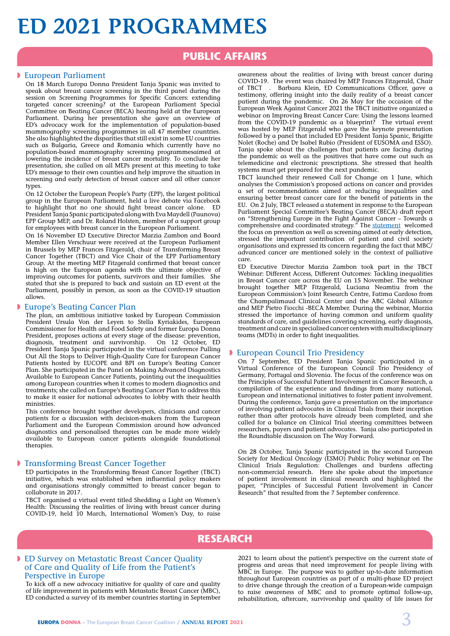## **ED 2021 PROGRAMMES**

### **PUBLIC AFFAIRS**

#### **D** European Parliament

On 18 March Europa Donna President Tanja Spanic was invited to speak about breast cancer screening in the third panel during the session on Screening Programmes for Specific Cancers: extending targeted cancer screening? at the European Parliament Special Committee on Beating Cancer ([BECA\)](https://europadonna-theeuropeanbreastcancercoalition.createsend1.com/t/j-l-flkkduk-jlydtujjtd-n/) hearing held at the European Parliament. During her presentation she gave an overview of ED's advocacy work for the implementation of population-based mammography screening programmes in all 47 member countries. She also highlighted the disparities that still exist in some EU countries such as Bulgaria, Greece and Romania which currently have no population-based mammography screening programmesaimed at lowering the incidence of breast cancer mortality. To conclude her presentation, she called on all MEPs present at this meeting to take ED's message to their own counties and help improve the situation in screening and early detection of breast cancer and all other cancer types.

On 12 October the European People's Party (EPP), the largest political group in the European Parliament, held a live debate via Facebook to highlight that no one should fight breast cancer alone. ED President Tanja Spanic participated along with Eva Maydell (Paunova) EPP Group MEP, and Dr. Roland Holsten, member of a support group for employees with breast cancer in the European Parliament.

On 16 November ED Executive Director Marzia Zambon and Board Member Ellen Verschuur were received at the European Parliament in Brussels by MEP Frances Fitzgerald, chair of Transforming Breast Cancer Together (TBCT) and Vice Chair of the EPP Parliamentary Group. At the meeting MEP Fitzgerald confirmed that breast cancer is high on the European agenda with the ultimate objective of improving outcomes for patients, survivors and their families. She stated that she is prepared to back and sustain an ED event at the Parliament, possibly in person, as soon as the COVID-19 situation allows.

#### **D** Europe's Beating Cancer Plan

The plan, an ambitious initiative tasked by European Commission President Ursula Von der Leyen to Stella Kyriakides, European Commissioner for Health and Food Safety and former Europa Donna President, proposes actions at every stage of the disease: prevention, diagnosis, treatment and survivorship. On 12 October, ED President Tanja Spanic participated in the virtual conference Pulling Out All the Stops to Deliver High-Quality Care for European Cancer Patients hosted by EUCOPE and BPI on Europe's Beating Cancer Plan. She participated in the Panel on Making Advanced Diagnostics Available to European Cancer Patients, pointing out the inequalities among European countries when it comes to modern diagnostics and treatments; she called on Europe's Beating Cancer Plan to address this to make it easier for national advocates to lobby with their health ministries.

This conference brought together developers, clinicians and cancer patients for a discussion with decision-makers from the European Parliament and the European Commission around how advanced diagnostics and personalised therapies can be made more widely available to European cancer patients alongside foundational therapies.

#### **Figure 3** Transforming Breast Cancer Together

ED participates in the Transforming Breast Cancer Together (TBCT) initiative, which was established when influential policy makers and organisations strongly committed to breast cancer began to collaborate in 2017.

TBCT organised a virtual event titled Shedding a Light on Women's Health: Discussing the realities of living with breast cancer during COVID-19, held 10 March, International Women's Day, to raise

awareness about the realities of living with breast cancer during COVID-19. The event was chaired by MEP Frances Fitzgerald, Chair Barbara Klein, ED Communications Officer, gave a testimony, offering insight into the daily reality of a breast cancer patient during the pandemic. On 26 May for the occasion of the European Week Against Cancer 2021 the TBCT initiative organized a webinar on Improving Breast Cancer Care: Using the lessons learned from the COVID-19 pandemic as a blueprint? The virtual event was hosted by MEP Fitzgerald who gave the keynote presentation followed by a panel that included ED President Tanja Spanic, Brigitte Nolet (Roche) and Dr Isabel Rubio (President of EUSOMA and ESSO). Tanja spoke about the challenges that patients are facing during the pandemic as well as the positives that have come out such as telemedicine and electronic prescriptions. She stressed that health systems must get prepared for the next pandemic.

TBCT launched their renewed Call for Change on 1 June, which analyses the Commission's proposed actions on cancer and provides a set of recommendations aimed at reducing inequalities and ensuring better breast cancer care for the benefit of patients in the EU. On 2 July, TBCT released a statement in response to the European Parliament Special Committee's Beating Cancer (BECA) draft report on "Strengthening Europe in the Fight Against Cancer – Towards a comprehensive and coordinated strategy." The **[statement](https://www.tbct.eu/wp-content/uploads/2021/08/TBCT-statement-on-BECA-report-V6_FINAL.pdf)** welcomed the focus on prevention as well as screening aimed at early detection, stressed the important contribution of patient and civil society organisations and expressed its concern regarding the fact that  $MBC/$ advanced cancer are mentioned solely in the context of palliative care.

ED Executive Director Marzia Zambon took part in the TBCT Webinar: Different Access, Different Outcomes: Tackling inequalities in Breast Cancer care across the EU on 15 November. The webinar brought together MEP Fitzgerald, Luciana Neamtiu from the European Commission's Joint Research Centre, Fatima Cardoso from the Champalimaud Clinical Center and the ABC Global Alliance and MEP Pietro Fiocchi -BECA Member. During the webinar, Marzia stressed the importance of having common and uniform quality standards of care, and guidelines covering screening, early diagnosis, treatment and care in specialised cancer centers with multidisciplinary teams (MDTs) in order to fight inequalities.

#### **European Council Trio Presidency**

On 7 September, ED President Tanja Spanic participated in a Virtual Conference of the European Council Trio Presidency of Germany, Portugal and Slovenia. The focus of the conference was on the [Principles of Successful Patient Involvement in Cancer Research,](https://europadonna-theeuropeanbreastcancercoalition.createsend1.com/t/j-l-zxktdd-jlydtujjtd-w/) a compilation of the experience and findings from many national, European and international initiatives to foster patient involvement. During the conference, Tanja gave a presentation on the importance of involving patient advocates in Clinical Trials from their inception rather than after protocols have already been completed, and she called for a balance on Clinical Trial steering committees between researchers, payers and patient advocates. Tanja also participated in the Roundtable discussion on The Way Forward.

On 28 October, Tanja Spanic participated in the second European Society for Medical Oncology (ESMO) Public Policy webinar on The Clinical Trials Regulation: Challenges and burdens affecting non-commercial research. Here she spoke about the importance of patient involvement in clinical research and highlighted the paper,  ["Principles of Successful Patient Involvement in Cancer](https://europadonna-theeuropeanbreastcancercoalition.createsend1.com/t/j-l-zxktdd-jlydtujjtd-ji/)  [Research"](https://europadonna-theeuropeanbreastcancercoalition.createsend1.com/t/j-l-zxktdd-jlydtujjtd-ji/) that resulted from the 7 September conference.

## **RESEARCH**

#### **DED Survey on Metastatic Breast Cancer Quality** of Care and Quality of Life from the Patient's Perspective in Europe

To kick off a new advocacy initiative for quality of care and quality of life improvement in patients with Metastatic Breast Cancer (MBC), ED conducted a survey of its member countries starting in September

2021 to learn about the patient's perspective on the current state of progress and areas that need improvement for people living with MBC in Europe. The purpose was to gather up-to-date information throughout European countries as part of a multi-phase ED project to drive change through the creation of a European-wide campaign to raise awareness of MBC and to promote optimal follow-up, rehabilitation, aftercare, survivorship and quality of life issues for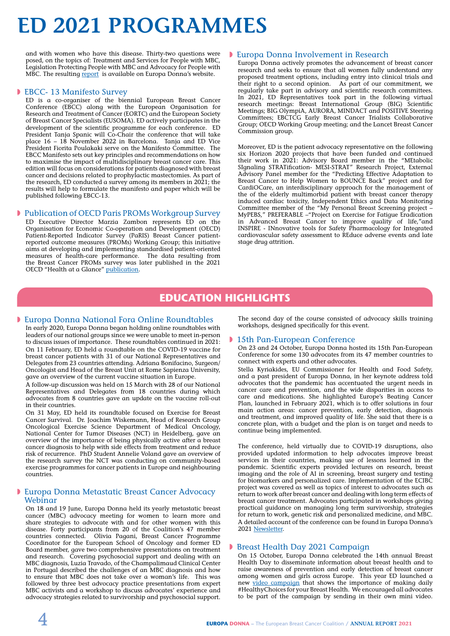## **ED 2021 PROGRAMMES**

and with women who have this disease. Thirty-two questions were posed, on the topics of: Treatment and Services for People with MBC, Legislation Protecting People with MBC and Advocacy for People with MBC. The resulting [report](https://www.europadonna.org/wp-content/uploads/2022/04/MBC-Survey-2022.pdf) is available on Europa Donna's website.

#### **EBCC-13 Manifesto Survey**

ED is a co-organiser of the biennial European Breast Cancer Conference (EBCC) along with the European Organisation for Research and Treatment of Cancer ([EORTC\)](https://europadonna-theeuropeanbreastcancercoalition.createsend1.com/t/j-l-zxktdd-jlydtujjtd-f/) and the European Society of Breast Cancer Specialists ([EUSOMA\)](https://europadonna-theeuropeanbreastcancercoalition.createsend1.com/t/j-l-zxktdd-jlydtujjtd-z/). ED actively participates in the development of the scientific programme for each conference. ED President Tanja Spanic will Co-Chair the conference that will take place 16 – 18 November 2022 in Barcelona. Tanja and ED Vice President Fiorita Poulakaki serve on the Manifesto Committee. The EBCC Manifesto sets out key principles and recommendations on how to maximise the impact of multidisciplinary breast cancer care. This edition will focus on considerations for patients diagnosed with breast cancer and decisions related to prophylactic mastectomies. As part of the research, ED conducted a survey among its members in 2021; the results will help to formulate the manifesto and paper which will be published following EBCC-13.

#### **D** Publication of OECD Paris PROMs Workgroup Survey

ED Executive Director Marzia Zambon represents ED on the Organisation for Economic Co-operation and Development [\(OECD\)](https://europadonna-theeuropeanbreastcancercoalition.createsend1.com/t/j-l-zjumuy-jlydtujjtd-o/) Patient-Reported Indicator Survey (PaRIS) Breast Cancer patientreported outcome measures (PROMs) Working Group; this initiative aims at developing and implementing standardised patient-oriented measures of health-care performance. The data resulting from the Breast Cancer PROMs survey was later published in the 2021 OECD "Health at a Glance" [publication](https://www.oecd.org/health/health-at-a-glance/).

#### **Europa Donna Involvement in Research**

Europa Donna actively promotes the advancement of breast cancer research and seeks to ensure that all women fully understand any proposed treatment options, including entry into clinical trials and their right to a second opinion. As part of our commitment, we regularly take part in advisory and scientific research committees. In 2021, ED Representatives took part in the following virtual research meetings: Breast International Group (BIG) Scientific Meetings; BIG OlympiA, AURORA, MINDACT and POSITIVE Steering Committees; EBCTCG Early Breast Cancer Trialists Collaborative Group; OECD Working Group meeting; and the Lancet Breast Cancer Commission group.

Moreover, ED is the patient advocacy representative on the following six Horizon 2020 projects that have been funded and continued their work in 2021: Advisory Board member in the "MEtabolic SIgnaling STRATification- MESI-STRAT" Research Project, External Advisory Panel member for the "Predicting Effective Adaptation to Breast Cancer to Help Women to BOUNCE Back" project and for CardiOCare, an interdisciplinary approach for the management of the of the elderly multimorbid patient with breast cancer therapy induced cardiac toxicity, Independent Ethics and Data Monitoring Committee member of the "My Personal Breast Screening project – MyPEBS," PREFERABLE –"Project on Exercise for Fatigue Eradication in Advanced Breast Cancer to improve quality of life,"and INSPIRE - INnovative tools for Safety Pharmacology for Integrated cardiovascular safety assessment to REduce adverse events and late stage drug attrition.

### **EDUCATION HIGHLIGHTS**

#### **Europa Donna National Fora Online Roundtables**

In early 2020, Europa Donna began holding online roundtables with leaders of our national groups since we were unable to meet in-person to discuss issues of importance. These roundtables continued in 2021: On 11 February, ED held a roundtable on the COVID-19 vaccine for breast cancer patients with 31 of our National Representatives and Delegates from 23 countries attending. Adriana Bonifacino, Surgeon/ Oncologist and Head of the Breast Unit at Rome Sapienza University, gave an overview of the current vaccine situation in Europe.

A follow-up discussion was held on 15 March with 28 of our National Representatives and Delegates from 18 countries during which advocates from 8 countries gave an update on the vaccine roll-out in their countries.

On 31 May, ED held its roundtable focused on Exercise for Breast Cancer Survival. Dr. Joachim Wiskemann, Head of Research Group Oncological Exercise Science Department of Medical Oncology, National Center for Tumor Diseases (NCT) in Heidelberg, gave an overview of the importance of being physically active after a breast cancer diagnosis to help with side effects from treatment and reduce risk of recurrence. PhD Student Annelie Voland gave an overview of the research survey the NCT was conducting on community-based exercise programmes for cancer patients in Europe and neighbouring countries.

#### **Europa Donna Metastatic Breast Cancer Advocacy** Webinar

On 18 and 19 June, Europa Donna held its yearly metastatic breast cancer (MBC) advocacy meeting for women to learn more and share strategies to advocate with and for other women with this disease. Forty participants from 20 of the Coalition's 47 member countries connected. Olivia Pagani, Breast Cancer Programme Coordinator for the European School of Oncology and former ED Board member, gave two comprehensive presentations on treatment and research. Covering psychosocial support and dealing with an MBC diagnosis, Luzia Travado, of the Champalimaud Clinical Center in Portugal described the challenges of an MBC diagnosis and how to ensure that MBC does not take over a woman's life. This was followed by three best advocacy practice presentations from expert MBC activists and a workshop to discuss advocates' experience and advocacy strategies related to survivorship and psychosocial support.

The second day of the course consisted of advocacy skills training workshops, designed specifically for this event.

#### **15th Pan-European Conference**

On 23 and 24 October, Europa Donna hosted its 15th Pan-European Conference for some 130 advocates from its 47 member countries to connect with experts and other advocates.

Stella Kyriakides, EU Commissioner for Health and Food Safety, and a past president of Europa Donna, in her keynote address told advocates that the pandemic has accentuated the urgent needs in cancer care and prevention, and the wide disparities in access to care and medications. She highlighted  [Europe's Beating Cancer](https://europadonna-theeuropeanbreastcancercoalition.createsend1.com/t/j-l-zxktdd-jlydtujjtd-y/)  [Plan,](https://europadonna-theeuropeanbreastcancercoalition.createsend1.com/t/j-l-zxktdd-jlydtujjtd-y/) launched in February 2021, which is to offer solutions in four main action areas: cancer prevention, early detection, diagnosis and treatment, and improved quality of life. She said that there is a concrete plan, with a budget and the plan is on target and needs to continue being implemented.

The conference, held virtually due to COVID-19 disruptions, also provided updated information to help advocates improve breast services in their countries, making use of lessons learned in the pandemic. Scientific experts provided lectures on research, breast imaging and the role of AI in screening, breast surgery and testing for biomarkers and personalized care. Implementation of the ECIBC project was covered as well as topics of interest to advocates such as return to work after breast cancer and dealing with long term effects of breast cancer treatment. Advocates participated in workshops giving practical guidance on managing long term survivorship, strategies for return to work, genetic risk and personalized medicine, and MBC. A detailed account of the conference can be found in Europa Donna's 2021 [Newsletter](https://www.europadonna.org/wp-content/uploads/2022/01/ED_News-2021_web.pdf).

#### **Breast Health Day 2021 Campaign**

On 15 October, Europa Donna celebrated the 14th annual Breast Health Day to disseminate information about breast health and to raise awareness of prevention and early detection of breast cancer among women and girls across Europe. This year ED launched a new [video campaign](https://www.europadonna.org/breast-health-day-campaign-materials/) that shows the importance of making daily #HealthyChoices for your Breast Health. We encouraged all advocates to be part of the campaign by sending in their own mini video.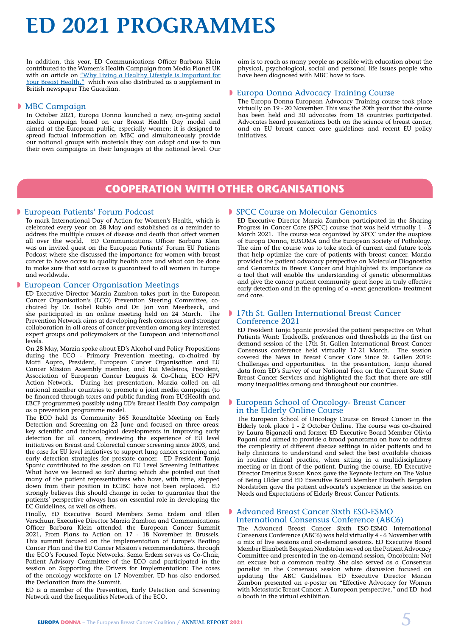## **ED 2021 PROGRAMMES**

In addition, this year, ED Communications Officer Barbara Klein contributed to the Women's Health Campaign from Media Planet UK with an article on <u>"Why Living a Healthy Lifestyle is Important for</u> [Your Breast Health,"](https://www.healthawareness.co.uk/breast-health/why-living-a-healthy-lifestyle-is-important-for-your-breast-health/?utm_source=EUROPADONNA-distro&utm_medium=assoc#) which was also distributed as a supplement in British newspaper The Guardian.

#### **MBC Campaign**

In October 2021, Europa Donna launched a new, on-going social media campaign based on our Breast Health Day model and aimed at the European public, especially women; it is designed to spread factual information on MBC and simultaneously provide our national groups with materials they can adapt and use to run their own campaigns in their languages at the national level. Our aim is to reach as many people as possible with education about the physical, psychological, social and personal life issues people who have been diagnosed with MBC have to face.

#### **Europa Donna Advocacy Training Course**

The Europa Donna European Advocacy Training course took place virtually on 19 - 20 November. This was the 20th year that the course has been held and 30 advocates from 18 countries participated. Advocates heard presentations both on the science of breast cancer, and on EU breast cancer care guidelines and recent EU policy initiatives.

### **COOPERATION WITH OTHER ORGANISATIONS**

#### **European Patients' Forum Podcast**

To mark International Day of Action for Women's Health, which is celebrated every year on 28 May and established as a reminder to address the multiple causes of disease and death that affect women all over the world, ED Communications Officer Barbara Klein was an invited guest on the European Patients' Forum [EU Patients](https://europadonna-theeuropeanbreastcancercoalition.createsend1.com/t/j-l-fidhjyk-jlydtujjtd-t/)  [Podcast](https://europadonna-theeuropeanbreastcancercoalition.createsend1.com/t/j-l-fidhjyk-jlydtujjtd-t/) where she discussed the importance for women with breast cancer to have access to quality health care and what can be done to make sure that said access is guaranteed to all women in Europe and worldwide.

#### **D** European Cancer Organisation Meetings

ED Executive Director Marzia Zambon takes part in the European Cancer Organisation's (ECO) Prevention Steering Committee, cochaired by Dr. Isabel Rubio and Dr. Jan van Meerbeeck, and she participated in an online meeting held on 24 March. The Prevention Network aims at developing fresh consensus and stronger collaboration in all areas of cancer prevention among key interested expert groups and policymakers at the European and international levels.

On 28 May, Marzia spoke about ED's Alcohol and Policy Propositions during the ECO - Primary Prevention meeting, co-chaired by Matti Aapro, President, European Cancer Organisation and EU Cancer Mission Assembly member, and Rui Medeiros, President, Association of European Cancer Leagues & Co-Chair, ECO HPV Action Network. During her presentation, Marzia called on all national member countries to promote a joint media campaign (to be financed through taxes and public funding from EU4Health and EBCP programmes) possibly using ED's Breast Health Day campaign as a prevention programme model.

The ECO held its Community 365 Roundtable Meeting on Early Detection and Screening on 22 June and focused on three areas: key scientific and technological developments in improving early detection for all cancers, reviewing the experience of EU level initiatives on Breast and Colorectal cancer screening since 2003, and the case for EU level initiatives to support lung cancer screening and early detection strategies for prostate cancer. ED President Tanja Spanic contributed to the session on EU Level Screening Initiatives: What have we learned so far? during which she pointed out that many of the patient representatives who have, with time, stepped down from their position in ECIBC have not been replaced. ED strongly believes this should change in order to guarantee that the patients' perspective always has an essential role in developing the EC Guidelines, as well as others.

Finally, ED Executive Board Members Sema Erdem and Ellen Verschuur, Executive Director Marzia Zambon and Communications Officer Barbara Klein attended the European Cancer Summit 2021, From Plans to Action on 17 - 18 November in Brussels. This summit focused on the implementation of Europe's Beating Cancer Plan and the EU Cancer Mission's recommendations, through the ECO's Focused Topic Networks. Sema Erdem serves as Co-Chair, Patient Advisory Committee of the ECO and participated in the session on Supporting the Drivers for Implementation: The cases of the oncology workforce on 17 November. ED has also endorsed the Declaration from the Summit.

ED is a member of the Prevention, Early Detection and Screening Network and the Inequalities Network of the ECO.

#### **D** SPCC Course on Molecular Genomics

ED Executive Director Marzia Zambon participated in the Sharing Progress in Cancer Care (SPCC) course that was held virtually  $1 - 5$ March 2021. The course was organized by SPCC under the auspices of Europa Donna, [EUSOMA](https://europadonna-theeuropeanbreastcancercoalition.createsend1.com/t/j-l-flkkduk-jlydtujjtd-i/) and the [European Society of Pathology.](https://europadonna-theeuropeanbreastcancercoalition.createsend1.com/t/j-l-flkkduk-jlydtujjtd-d/) The aim of the course was to take stock of current and future tools that help optimize the care of patients with breast cancer. Marzia provided the patient advocacy perspective on Molecular Diagnostics and Genomics in Breast Cancer and highlighted its importance as a tool that will enable the understanding of genetic abnormalities and give the cancer patient community great hope in truly effective early detection and in the opening of a «next generation» treatment and care.

#### **17th St. Gallen International Breast Cancer** Conference 2021

ED President Tanja Spanic provided the patient perspective on What Patients Want: Tradeoffs, preferences and thresholds in the first on demand session of the  $17th$  St. Gallen International Breast Cancer Consensus conference held virtually 17-21 March. The session covered the News in Breast Cancer Care Since St. Gallen 2019: Challenges and opportunities. In the presentation, Tanja shared data from ED's Survey of our National Fora on the [Current State of](https://europadonna-theeuropeanbreastcancercoalition.createsend1.com/t/j-l-flkkduk-jlydtujjtd-b/) [Breast Cancer Services](https://europadonna-theeuropeanbreastcancercoalition.createsend1.com/t/j-l-flkkduk-jlydtujjtd-b/) and highlighted the fact that there are still many inequalities among and throughout our countries.

#### **European School of Oncology- Breast Cancer** in the Elderly Online Course

The European School of Oncology Course on Breast Cancer in the Elderly took place 1 - 2 October Online. The course was co-chaired by Laura Biganzoli and former ED Executive Board Member Olivia Pagani and aimed to provide a broad panorama on how to address the complexity of different disease settings in older patients and to help clinicians to understand and select the best available choices in routine clinical practice, when sitting in a multidisciplinary meeting or in front of the patient. During the course, ED Executive Director Emeritus Susan Knox gave the Keynote lecture on The Value of Being Older and ED Executive Board Member Elizabeth Bergsten Nordström gave the patient advocate's experience in the session on Needs and Expectations of Elderly Breast Cancer Patients.

#### **Advanced Breast Cancer Sixth ESO-ESMO** International Consensus Conference (ABC6)

The Advanced Breast Cancer Sixth ESO-ESMO International Consensus Conference [\(ABC6](https://europadonna-theeuropeanbreastcancercoalition.createsend1.com/t/j-l-zjumuy-jlydtujjtd-y/)) was held virtually 4 - 6 November with a mix of live sessions and on-demand sessions. ED Executive Board Member Elizabeth Bergsten Nordström served on the Patient Advocacy Committee and presented in the on-demand session, Oncobrain: Not an excuse but a common reality. She also served as a Consensus panelist in the Consensus session where discussion focused on updating the ABC Guidelines. ED Executive Director Marzia Zambon presented an e-poster on "Effective Advocacy for Women with Metastatic Breast Cancer: A European perspective," and ED had a booth in the virtual exhibition.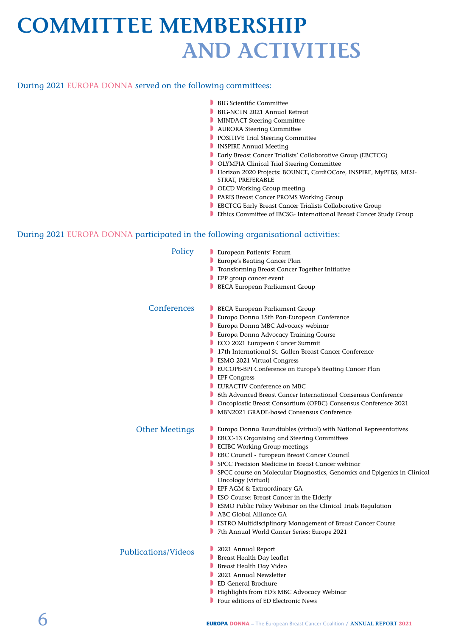## **COMMITTEE MEMBERSHIP AND ACTIVITIES**

#### During 2021 EUROPA DONNA served on the following committees:

- **BIG Scientific Committee**
- BIG-NCTN 2021 Annual Retreat
- MINDACT Steering Committee
- **NURORA Steering Committee**
- POSITIVE Trial Steering Committee
- **INSPIRE Annual Meeting**
- **B** Early Breast Cancer Trialists' Collaborative Group (EBCTCG)
- **D** OLYMPIA Clinical Trial Steering Committee
- w Horizon 2020 Projects: BOUNCE, CardiOCare, INSPIRE, MyPEBS, MESI-STRAT, PREFERABLE
- OECD Working Group meeting
- **PARIS Breast Cancer PROMS Working Group**
- **EBCTCG Early Breast Cancer Trialists Collaborative Group**
- **Ethics Committee of IBCSG- International Breast Cancer Study Group**

#### During 2021 EUROPA DONNA participated in the following organisational activities:

| Policy                     | European Patients' Forum<br><b>Europe's Beating Cancer Plan</b><br><b>Transforming Breast Cancer Together Initiative</b><br>EPP group cancer event<br>BECA European Parliament Group                                                                                                                                                                                                                                                                                                                                                                                                                                                                 |
|----------------------------|------------------------------------------------------------------------------------------------------------------------------------------------------------------------------------------------------------------------------------------------------------------------------------------------------------------------------------------------------------------------------------------------------------------------------------------------------------------------------------------------------------------------------------------------------------------------------------------------------------------------------------------------------|
| Conferences                | <b>BECA European Parliament Group</b><br>Europa Donna 15th Pan-European Conference<br>Europa Donna MBC Advocacy webinar<br><b>Europa Donna Advocacy Training Course</b><br>ECO 2021 European Cancer Summit<br>• 17th International St. Gallen Breast Cancer Conference<br><b>ESMO 2021 Virtual Congress</b><br><b>DEUCOPE-BPI Conference on Europe's Beating Cancer Plan</b><br>$\blacksquare$ EPF Congress<br><b>EURACTIV Conference on MBC</b><br><b>• 6th Advanced Breast Cancer International Consensus Conference</b><br>• Oncoplastic Breast Consortium (OPBC) Consensus Conference 2021<br>MBN2021 GRADE-based Consensus Conference           |
| <b>Other Meetings</b>      | Europa Donna Roundtables (virtual) with National Representatives<br>EBCC-13 Organising and Steering Committees<br>ECIBC Working Group meetings<br>EBC Council - European Breast Cancer Council<br>SPCC Precision Medicine in Breast Cancer webinar<br>SPCC course on Molecular Diagnostics, Genomics and Epigenics in Clinical<br>Oncology (virtual)<br>EPF AGM & Extraordinary GA<br><b>BESO Course: Breast Cancer in the Elderly</b><br>ESMO Public Policy Webinar on the Clinical Trials Regulation<br>ABC Global Alliance GA<br><b>ESTRO Multidisciplinary Management of Breast Cancer Course</b><br>7th Annual World Cancer Series: Europe 2021 |
| <b>Publications/Videos</b> | 2021 Annual Report<br>Breast Health Day leaflet<br>Breast Health Day Video<br>2021 Annual Newsletter<br><b>ED General Brochure</b><br>Highlights from ED's MBC Advocacy Webinar<br>Four editions of ED Electronic News                                                                                                                                                                                                                                                                                                                                                                                                                               |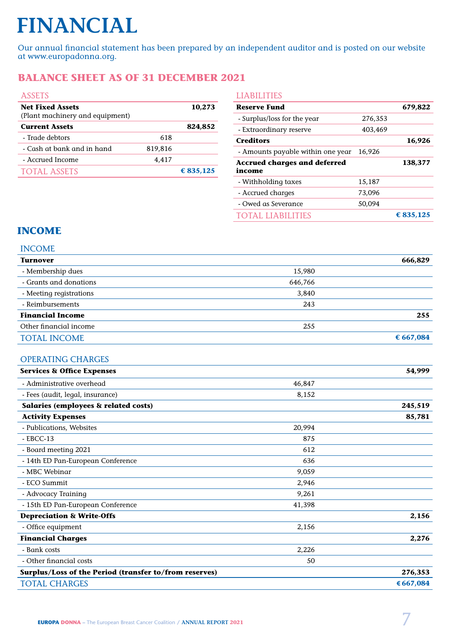# **FINANCIAL**

Our annual financial statement has been prepared by an independent auditor and is posted on our website at www.europadonna.org.

## **BALANCE SHEET AS OF 31 DECEMBER 2021**

|         | 10,273    |
|---------|-----------|
|         | 824,852   |
| 618     |           |
| 819,816 |           |
| 4,417   |           |
|         | € 835,125 |
|         |           |

| <b>LIABILITIES</b>                            |         |           |
|-----------------------------------------------|---------|-----------|
| <b>Reserve Fund</b>                           |         | 679,822   |
| - Surplus/loss for the year                   | 276,353 |           |
| - Extraordinary reserve                       | 403,469 |           |
| <b>Creditors</b>                              |         | 16,926    |
| - Amounts payable within one year             | 16,926  |           |
| <b>Accrued charges and deferred</b><br>income |         | 138,377   |
| - Withholding taxes                           | 15,187  |           |
| - Accrued charges                             | 73,096  |           |
| - Owed as Severance                           | 50,094  |           |
| AL LIABILITIES                                |         | € 835.125 |

### **INCOME**

|  | ۰.<br>Y |  |
|--|---------|--|
|  |         |  |

| <b>Turnover</b>                                        |         | 666,829   |
|--------------------------------------------------------|---------|-----------|
| - Membership dues                                      | 15,980  |           |
| - Grants and donations                                 | 646,766 |           |
| - Meeting registrations                                | 3,840   |           |
| - Reimbursements                                       | 243     |           |
| <b>Financial Income</b>                                |         | 255       |
| Other financial income                                 | 255     |           |
| <b>TOTAL INCOME</b>                                    |         | € 667,084 |
| <b>OPERATING CHARGES</b>                               |         |           |
| <b>Services &amp; Office Expenses</b>                  |         | 54,999    |
| - Administrative overhead                              | 46,847  |           |
| - Fees (audit, legal, insurance)                       | 8,152   |           |
| Salaries (employees & related costs)                   |         | 245,519   |
| <b>Activity Expenses</b>                               |         | 85,781    |
| - Publications, Websites                               | 20,994  |           |
| $-$ EBCC-13                                            | 875     |           |
| - Board meeting 2021                                   | 612     |           |
| - 14th ED Pan-European Conference                      | 636     |           |
| - MBC Webinar                                          | 9,059   |           |
| - ECO Summit                                           | 2,946   |           |
| - Advocacy Training                                    | 9,261   |           |
| - 15th ED Pan-European Conference                      | 41,398  |           |
| <b>Depreciation &amp; Write-Offs</b>                   |         | 2,156     |
| - Office equipment                                     | 2,156   |           |
| <b>Financial Charges</b>                               |         | 2,276     |
| - Bank costs                                           | 2,226   |           |
| - Other financial costs                                | 50      |           |
| Surplus/Loss of the Period (transfer to/from reserves) |         | 276,353   |
| <b>TOTAL CHARGES</b>                                   |         | €667,084  |
|                                                        |         |           |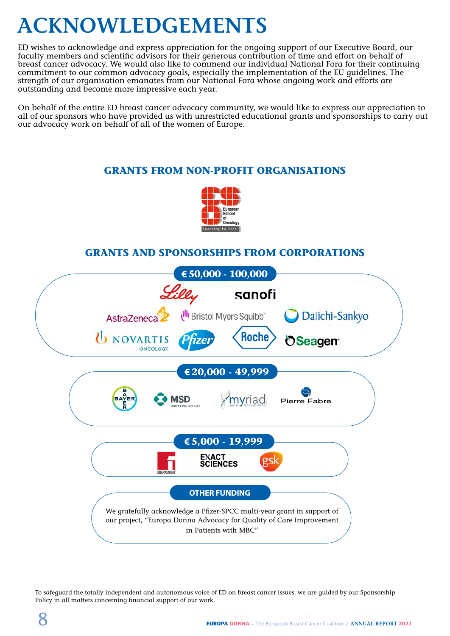## **ACKNOWLEDGEMENTS**

ED wishes to acknowledge and express appreciation for the ongoing support of our Executive Board, our faculty members and scientific advisors for their generous contribution of time and effort on behalf of breast cancer advocacy. We would also like to commend our individual National Fora for their continuing commitment to our common advocacy goals, especially the implementation of the EU guidelines. The strength of our organisation emanates from our National Fora whose ongoing work and efforts are outstanding and become more impressive each year.

On behalf of the entire ED breast cancer advocacy community, we would like to express our appreciation to all of our sponsors who have provided us with unrestricted educational grants and sponsorships to carry out our advocacy work on behalf of all of the women of Europe.

## **GRANTS FROM NON-PROFIT ORGANISATIONS**



### **GRANTS AND SPONSORSHIPS FROM CORPORATIONS**



To safeguard the totally independent and autonomous voice of ED on breast cancer issues, we are guided by our Sponsorship Policy in all matters concerning financial support of our work.